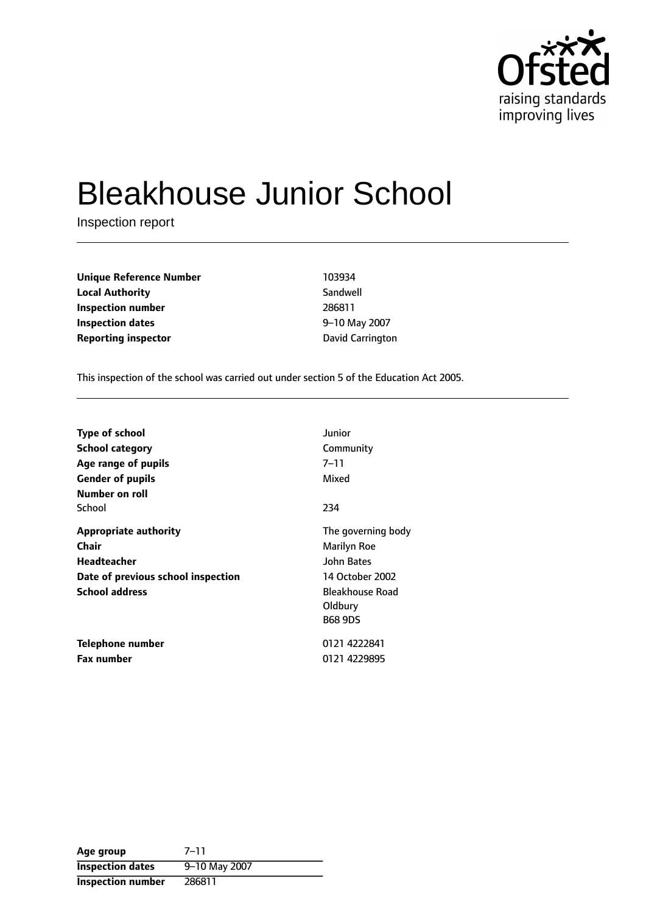

# Bleakhouse Junior School

Inspection report

| <b>Unique Reference Number</b> | 103934           |
|--------------------------------|------------------|
| <b>Local Authority</b>         | Sandwell         |
| Inspection number              | 286811           |
| Inspection dates               | 9-10 May 2007    |
| <b>Reporting inspector</b>     | David Carrington |

This inspection of the school was carried out under section 5 of the Education Act 2005.

| <b>Type of school</b><br><b>School category</b><br>Age range of pupils<br><b>Gender of pupils</b><br>Number on roll        | Junior<br>Community<br>$7 - 11$<br>Mixed                                                                                  |
|----------------------------------------------------------------------------------------------------------------------------|---------------------------------------------------------------------------------------------------------------------------|
| School                                                                                                                     | 234                                                                                                                       |
| <b>Appropriate authority</b><br>Chair<br><b>Headteacher</b><br>Date of previous school inspection<br><b>School address</b> | The governing body<br>Marilyn Roe<br><b>John Bates</b><br>14 October 2002<br>Bleakhouse Road<br>Oldbury<br><b>B68 9DS</b> |
| Telephone number<br><b>Fax number</b>                                                                                      | 0121 4222841<br>0121 4229895                                                                                              |

Age group 7-11 **Inspection dates** 9-10 May 2007 **Inspection number** 286811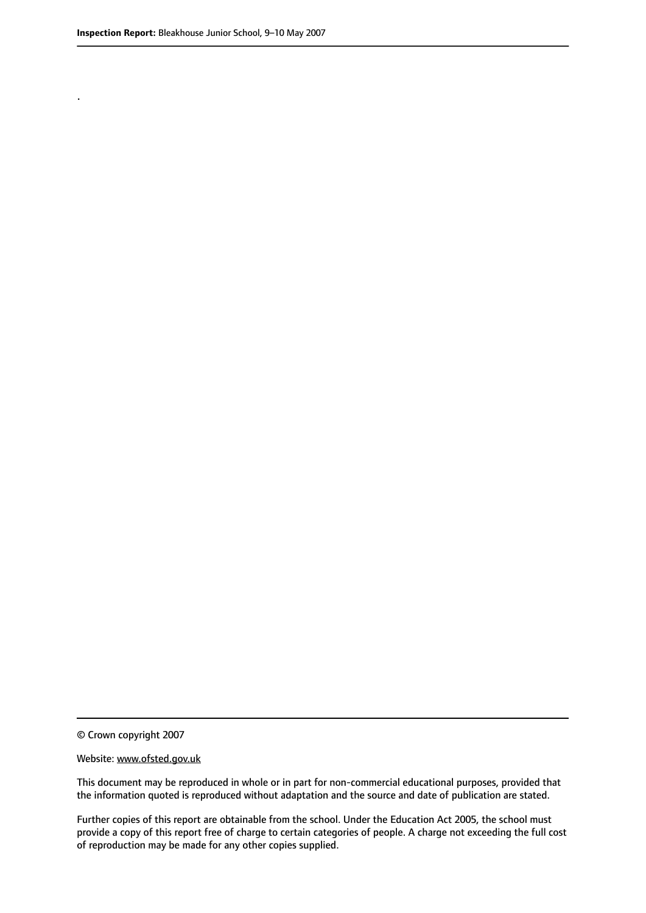.

This document may be reproduced in whole or in part for non-commercial educational purposes, provided that the information quoted is reproduced without adaptation and the source and date of publication are stated.

Further copies of this report are obtainable from the school. Under the Education Act 2005, the school must provide a copy of this report free of charge to certain categories of people. A charge not exceeding the full cost of reproduction may be made for any other copies supplied.

<sup>©</sup> Crown copyright 2007

Website: www.ofsted.gov.uk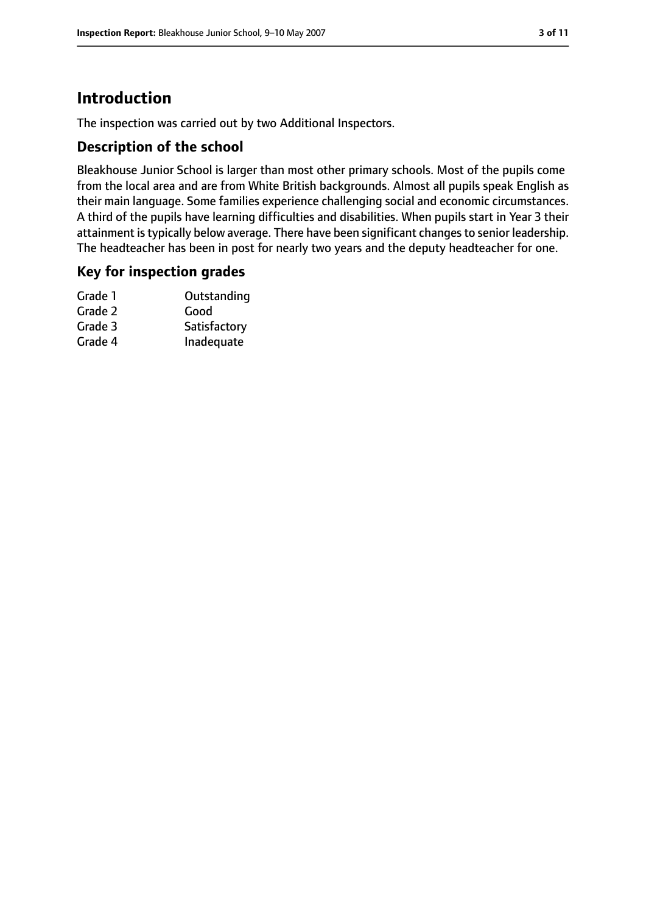# **Introduction**

The inspection was carried out by two Additional Inspectors.

## **Description of the school**

Bleakhouse Junior School is larger than most other primary schools. Most of the pupils come from the local area and are from White British backgrounds. Almost all pupils speak English as their main language. Some families experience challenging social and economic circumstances. A third of the pupils have learning difficulties and disabilities. When pupils start in Year 3 their attainment is typically below average. There have been significant changes to senior leadership. The headteacher has been in post for nearly two years and the deputy headteacher for one.

## **Key for inspection grades**

| Grade 1 | Outstanding  |
|---------|--------------|
| Grade 2 | Good         |
| Grade 3 | Satisfactory |
| Grade 4 | Inadequate   |
|         |              |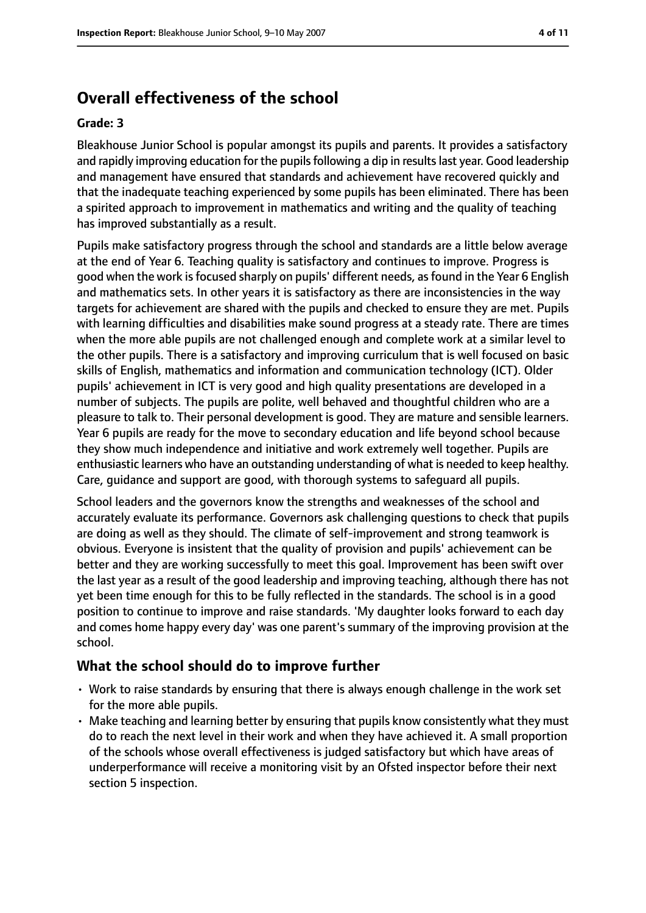# **Overall effectiveness of the school**

#### **Grade: 3**

Bleakhouse Junior School is popular amongst its pupils and parents. It provides a satisfactory and rapidly improving education for the pupils following a dip in results last year. Good leadership and management have ensured that standards and achievement have recovered quickly and that the inadequate teaching experienced by some pupils has been eliminated. There has been a spirited approach to improvement in mathematics and writing and the quality of teaching has improved substantially as a result.

Pupils make satisfactory progress through the school and standards are a little below average at the end of Year 6. Teaching quality is satisfactory and continues to improve. Progress is good when the work isfocused sharply on pupils' different needs, asfound in the Year 6 English and mathematics sets. In other years it is satisfactory as there are inconsistencies in the way targets for achievement are shared with the pupils and checked to ensure they are met. Pupils with learning difficulties and disabilities make sound progress at a steady rate. There are times when the more able pupils are not challenged enough and complete work at a similar level to the other pupils. There is a satisfactory and improving curriculum that is well focused on basic skills of English, mathematics and information and communication technology (ICT). Older pupils' achievement in ICT is very good and high quality presentations are developed in a number of subjects. The pupils are polite, well behaved and thoughtful children who are a pleasure to talk to. Their personal development is good. They are mature and sensible learners. Year 6 pupils are ready for the move to secondary education and life beyond school because they show much independence and initiative and work extremely well together. Pupils are enthusiastic learners who have an outstanding understanding of what is needed to keep healthy. Care, guidance and support are good, with thorough systems to safeguard all pupils.

School leaders and the governors know the strengths and weaknesses of the school and accurately evaluate its performance. Governors ask challenging questions to check that pupils are doing as well as they should. The climate of self-improvement and strong teamwork is obvious. Everyone is insistent that the quality of provision and pupils' achievement can be better and they are working successfully to meet this goal. Improvement has been swift over the last year as a result of the good leadership and improving teaching, although there has not yet been time enough for this to be fully reflected in the standards. The school is in a good position to continue to improve and raise standards. 'My daughter looks forward to each day and comes home happy every day' was one parent's summary of the improving provision at the school.

## **What the school should do to improve further**

- Work to raise standards by ensuring that there is always enough challenge in the work set for the more able pupils.
- Make teaching and learning better by ensuring that pupils know consistently what they must do to reach the next level in their work and when they have achieved it. A small proportion of the schools whose overall effectiveness is judged satisfactory but which have areas of underperformance will receive a monitoring visit by an Ofsted inspector before their next section 5 inspection.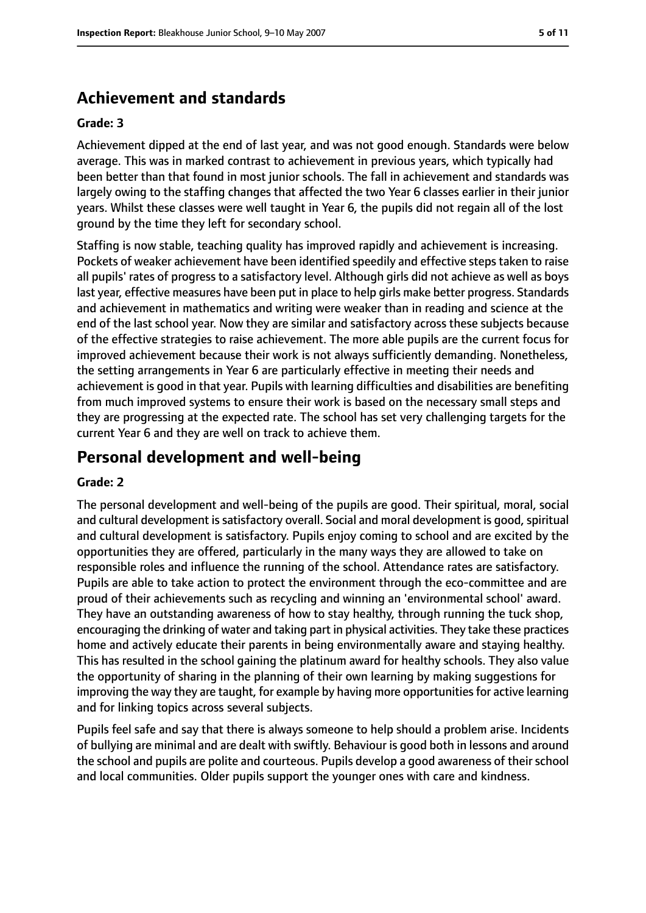# **Achievement and standards**

#### **Grade: 3**

Achievement dipped at the end of last year, and was not good enough. Standards were below average. This was in marked contrast to achievement in previous years, which typically had been better than that found in most junior schools. The fall in achievement and standards was largely owing to the staffing changes that affected the two Year 6 classes earlier in their junior years. Whilst these classes were well taught in Year 6, the pupils did not regain all of the lost ground by the time they left for secondary school.

Staffing is now stable, teaching quality has improved rapidly and achievement is increasing. Pockets of weaker achievement have been identified speedily and effective steps taken to raise all pupils' rates of progress to a satisfactory level. Although girls did not achieve as well as boys last year, effective measures have been put in place to help girls make better progress. Standards and achievement in mathematics and writing were weaker than in reading and science at the end of the last school year. Now they are similar and satisfactory across these subjects because of the effective strategies to raise achievement. The more able pupils are the current focus for improved achievement because their work is not always sufficiently demanding. Nonetheless, the setting arrangements in Year 6 are particularly effective in meeting their needs and achievement is good in that year. Pupils with learning difficulties and disabilities are benefiting from much improved systems to ensure their work is based on the necessary small steps and they are progressing at the expected rate. The school has set very challenging targets for the current Year 6 and they are well on track to achieve them.

# **Personal development and well-being**

#### **Grade: 2**

The personal development and well-being of the pupils are good. Their spiritual, moral, social and cultural development is satisfactory overall. Social and moral development is good, spiritual and cultural development is satisfactory. Pupils enjoy coming to school and are excited by the opportunities they are offered, particularly in the many ways they are allowed to take on responsible roles and influence the running of the school. Attendance rates are satisfactory. Pupils are able to take action to protect the environment through the eco-committee and are proud of their achievements such as recycling and winning an 'environmental school' award. They have an outstanding awareness of how to stay healthy, through running the tuck shop, encouraging the drinking of water and taking part in physical activities. They take these practices home and actively educate their parents in being environmentally aware and staying healthy. This has resulted in the school gaining the platinum award for healthy schools. They also value the opportunity of sharing in the planning of their own learning by making suggestions for improving the way they are taught, for example by having more opportunities for active learning and for linking topics across several subjects.

Pupils feel safe and say that there is always someone to help should a problem arise. Incidents of bullying are minimal and are dealt with swiftly. Behaviour is good both in lessons and around the school and pupils are polite and courteous. Pupils develop a good awareness of their school and local communities. Older pupils support the younger ones with care and kindness.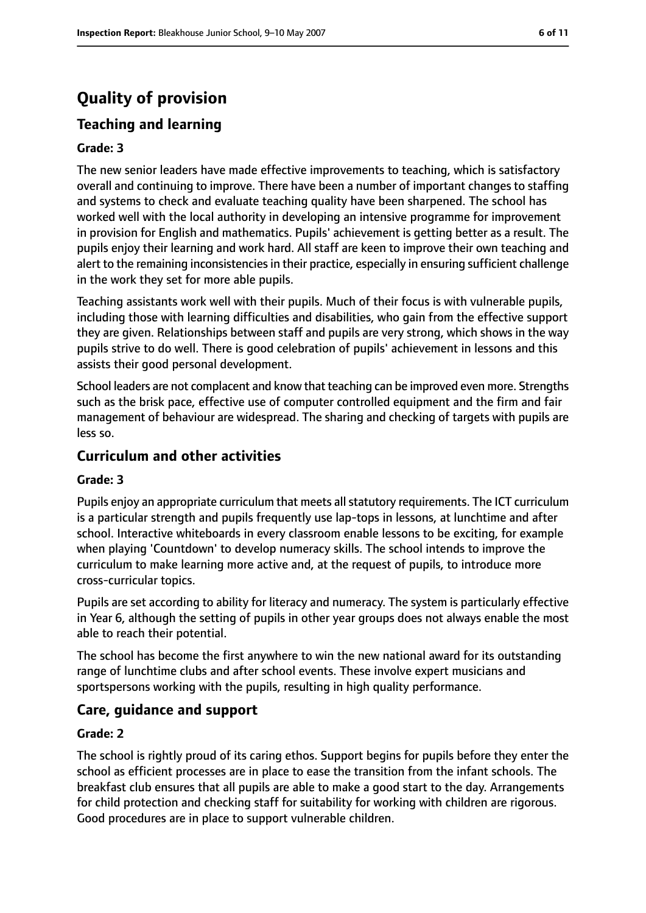# **Quality of provision**

# **Teaching and learning**

#### **Grade: 3**

The new senior leaders have made effective improvements to teaching, which is satisfactory overall and continuing to improve. There have been a number of important changes to staffing and systems to check and evaluate teaching quality have been sharpened. The school has worked well with the local authority in developing an intensive programme for improvement in provision for English and mathematics. Pupils' achievement is getting better as a result. The pupils enjoy their learning and work hard. All staff are keen to improve their own teaching and alert to the remaining inconsistencies in their practice, especially in ensuring sufficient challenge in the work they set for more able pupils.

Teaching assistants work well with their pupils. Much of their focus is with vulnerable pupils, including those with learning difficulties and disabilities, who gain from the effective support they are given. Relationships between staff and pupils are very strong, which shows in the way pupils strive to do well. There is good celebration of pupils' achievement in lessons and this assists their good personal development.

School leaders are not complacent and know that teaching can be improved even more. Strengths such as the brisk pace, effective use of computer controlled equipment and the firm and fair management of behaviour are widespread. The sharing and checking of targets with pupils are less so.

## **Curriculum and other activities**

#### **Grade: 3**

Pupils enjoy an appropriate curriculum that meets all statutory requirements. The ICT curriculum is a particular strength and pupils frequently use lap-tops in lessons, at lunchtime and after school. Interactive whiteboards in every classroom enable lessons to be exciting, for example when playing 'Countdown' to develop numeracy skills. The school intends to improve the curriculum to make learning more active and, at the request of pupils, to introduce more cross-curricular topics.

Pupils are set according to ability for literacy and numeracy. The system is particularly effective in Year 6, although the setting of pupils in other year groups does not always enable the most able to reach their potential.

The school has become the first anywhere to win the new national award for its outstanding range of lunchtime clubs and after school events. These involve expert musicians and sportspersons working with the pupils, resulting in high quality performance.

## **Care, guidance and support**

#### **Grade: 2**

The school is rightly proud of its caring ethos. Support begins for pupils before they enter the school as efficient processes are in place to ease the transition from the infant schools. The breakfast club ensures that all pupils are able to make a good start to the day. Arrangements for child protection and checking staff for suitability for working with children are rigorous. Good procedures are in place to support vulnerable children.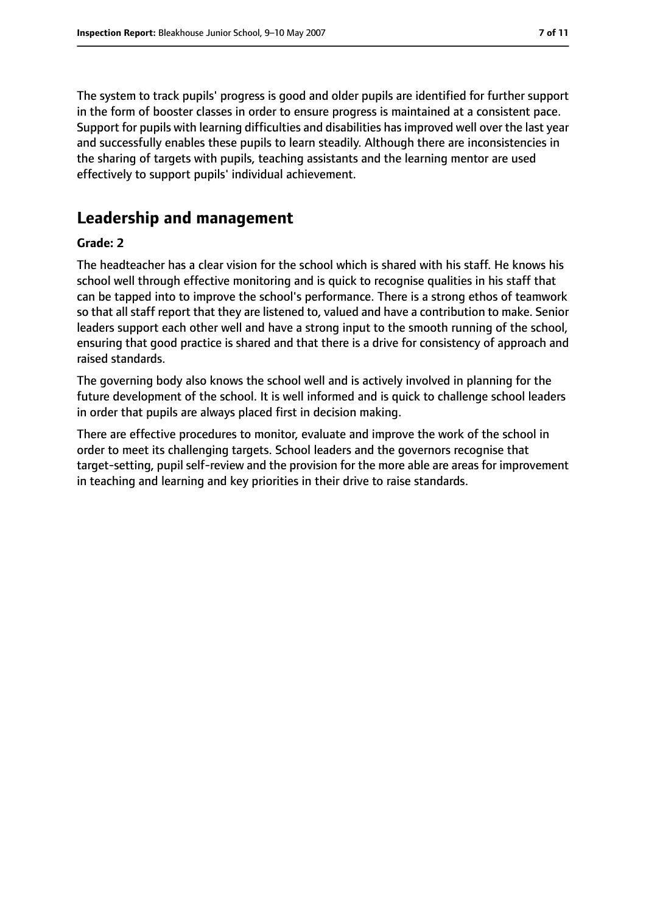The system to track pupils' progress is good and older pupils are identified for further support in the form of booster classes in order to ensure progress is maintained at a consistent pace. Support for pupils with learning difficulties and disabilities has improved well over the last year and successfully enables these pupils to learn steadily. Although there are inconsistencies in the sharing of targets with pupils, teaching assistants and the learning mentor are used effectively to support pupils' individual achievement.

# **Leadership and management**

#### **Grade: 2**

The headteacher has a clear vision for the school which is shared with his staff. He knows his school well through effective monitoring and is quick to recognise qualities in his staff that can be tapped into to improve the school's performance. There is a strong ethos of teamwork so that all staff report that they are listened to, valued and have a contribution to make. Senior leaders support each other well and have a strong input to the smooth running of the school, ensuring that good practice is shared and that there is a drive for consistency of approach and raised standards.

The governing body also knows the school well and is actively involved in planning for the future development of the school. It is well informed and is quick to challenge school leaders in order that pupils are always placed first in decision making.

There are effective procedures to monitor, evaluate and improve the work of the school in order to meet its challenging targets. School leaders and the governors recognise that target-setting, pupil self-review and the provision for the more able are areas for improvement in teaching and learning and key priorities in their drive to raise standards.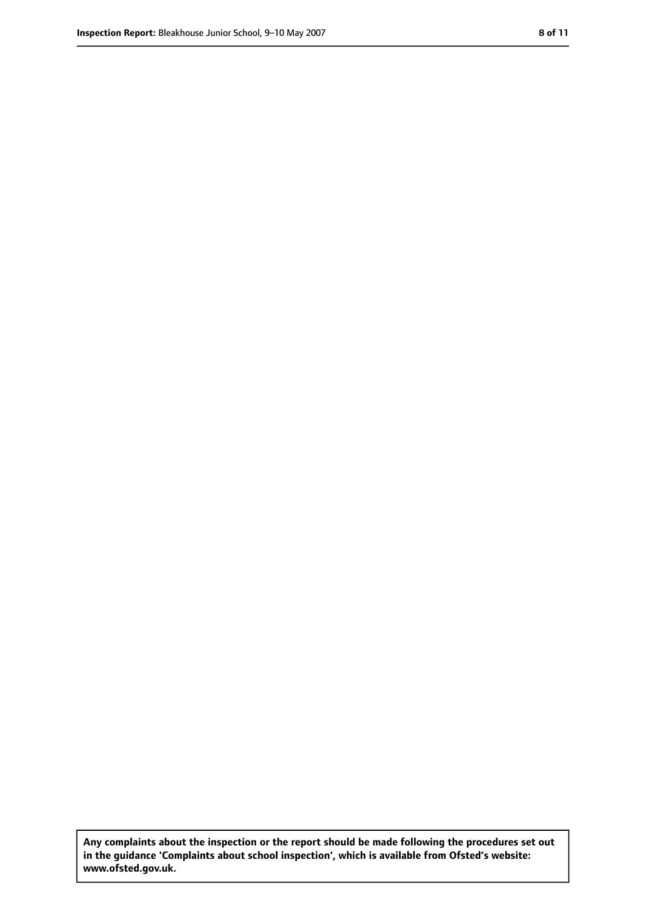**Any complaints about the inspection or the report should be made following the procedures set out in the guidance 'Complaints about school inspection', which is available from Ofsted's website: www.ofsted.gov.uk.**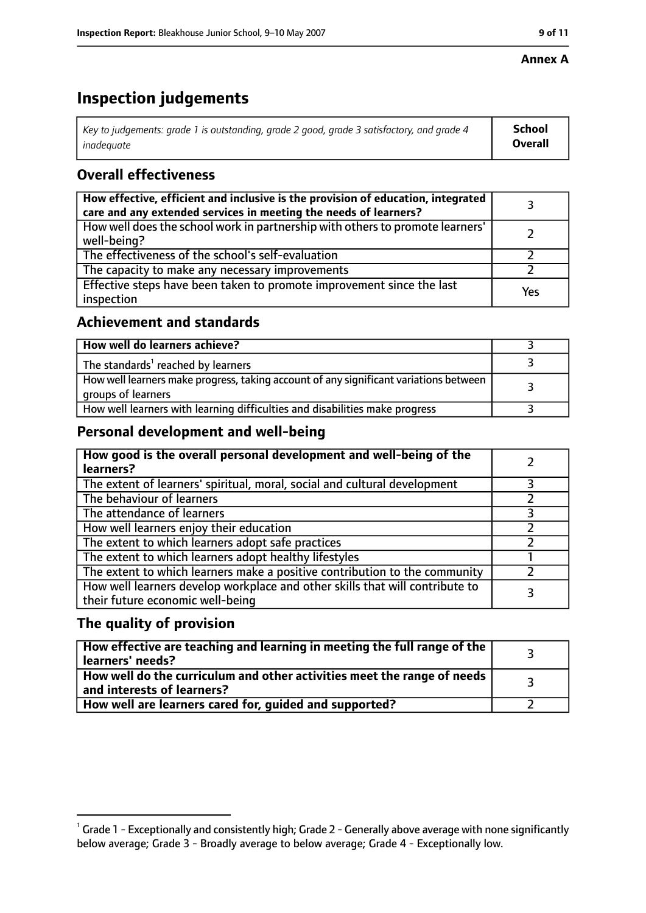#### **Annex A**

# **Inspection judgements**

| Key to judgements: grade 1 is outstanding, grade 2 good, grade 3 satisfactory, and grade 4 | <b>School</b>  |
|--------------------------------------------------------------------------------------------|----------------|
| inadeauate                                                                                 | <b>Overall</b> |

# **Overall effectiveness**

| How effective, efficient and inclusive is the provision of education, integrated<br>care and any extended services in meeting the needs of learners? |     |
|------------------------------------------------------------------------------------------------------------------------------------------------------|-----|
| How well does the school work in partnership with others to promote learners'<br>well-being?                                                         |     |
| The effectiveness of the school's self-evaluation                                                                                                    |     |
| The capacity to make any necessary improvements                                                                                                      |     |
| Effective steps have been taken to promote improvement since the last<br>inspection                                                                  | Yes |

## **Achievement and standards**

| How well do learners achieve?                                                                               |  |
|-------------------------------------------------------------------------------------------------------------|--|
| The standards <sup>1</sup> reached by learners                                                              |  |
| How well learners make progress, taking account of any significant variations between<br>groups of learners |  |
| How well learners with learning difficulties and disabilities make progress                                 |  |

## **Personal development and well-being**

| How good is the overall personal development and well-being of the<br>learners?                                  |  |
|------------------------------------------------------------------------------------------------------------------|--|
| The extent of learners' spiritual, moral, social and cultural development                                        |  |
| The behaviour of learners                                                                                        |  |
| The attendance of learners                                                                                       |  |
| How well learners enjoy their education                                                                          |  |
| The extent to which learners adopt safe practices                                                                |  |
| The extent to which learners adopt healthy lifestyles                                                            |  |
| The extent to which learners make a positive contribution to the community                                       |  |
| How well learners develop workplace and other skills that will contribute to<br>their future economic well-being |  |

## **The quality of provision**

| How effective are teaching and learning in meeting the full range of the<br>learners' needs?          |  |
|-------------------------------------------------------------------------------------------------------|--|
| How well do the curriculum and other activities meet the range of needs<br>and interests of learners? |  |
| How well are learners cared for, quided and supported?                                                |  |

 $^1$  Grade 1 - Exceptionally and consistently high; Grade 2 - Generally above average with none significantly below average; Grade 3 - Broadly average to below average; Grade 4 - Exceptionally low.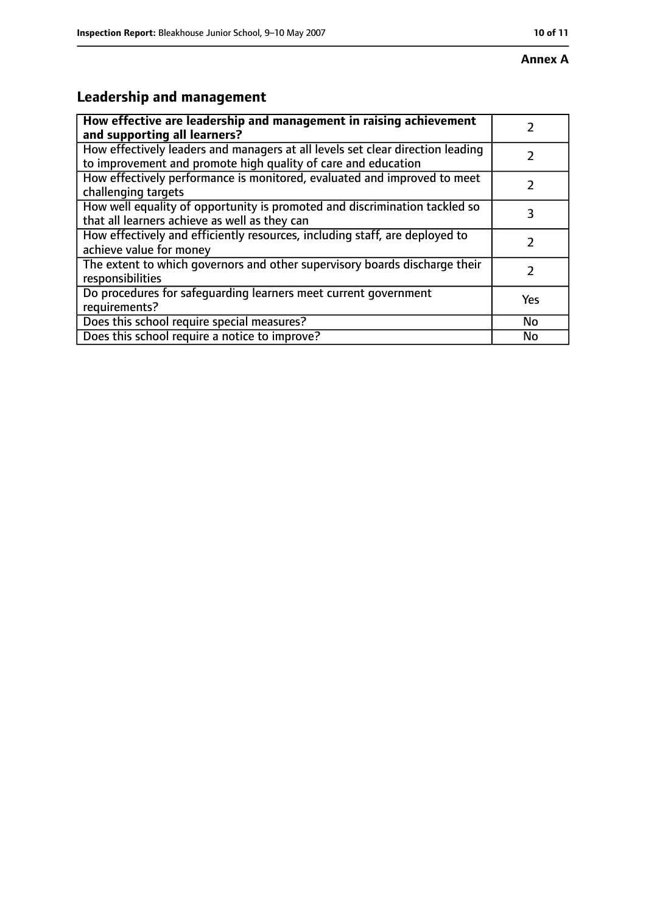# **Leadership and management**

| How effective are leadership and management in raising achievement<br>and supporting all learners?                                              |               |
|-------------------------------------------------------------------------------------------------------------------------------------------------|---------------|
| How effectively leaders and managers at all levels set clear direction leading<br>to improvement and promote high quality of care and education |               |
| How effectively performance is monitored, evaluated and improved to meet<br>challenging targets                                                 |               |
| How well equality of opportunity is promoted and discrimination tackled so<br>that all learners achieve as well as they can                     | 3             |
| How effectively and efficiently resources, including staff, are deployed to<br>achieve value for money                                          | 7             |
| The extent to which governors and other supervisory boards discharge their<br>responsibilities                                                  | $\mathcal{L}$ |
| Do procedures for safequarding learners meet current government<br>requirements?                                                                | Yes           |
| Does this school require special measures?                                                                                                      | No            |
| Does this school require a notice to improve?                                                                                                   | No            |